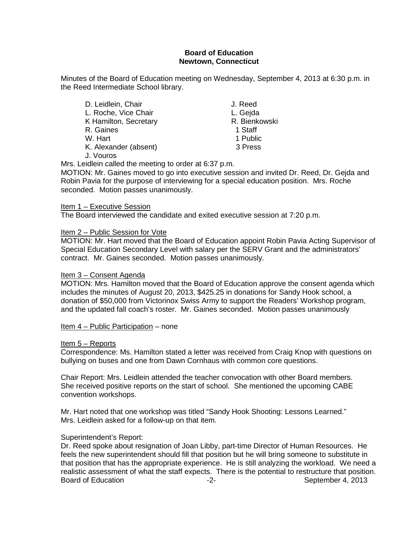# **Board of Education Newtown, Connecticut**

Minutes of the Board of Education meeting on Wednesday, September 4, 2013 at 6:30 p.m. in the Reed Intermediate School library.

| D. Leidlein, Chair    | J. Reed       |
|-----------------------|---------------|
| L. Roche, Vice Chair  | L. Gejda      |
| K Hamilton, Secretary | R. Bienkowski |
| R. Gaines             | 1 Staff       |
| W. Hart               | 1 Public      |
| K. Alexander (absent) | 3 Press       |
| J. Vouros             |               |

Mrs. Leidlein called the meeting to order at 6:37 p.m.

MOTION: Mr. Gaines moved to go into executive session and invited Dr. Reed, Dr. Gejda and Robin Pavia for the purpose of interviewing for a special education position. Mrs. Roche seconded. Motion passes unanimously.

## Item 1 – Executive Session

The Board interviewed the candidate and exited executive session at 7:20 p.m.

## Item 2 – Public Session for Vote

MOTION: Mr. Hart moved that the Board of Education appoint Robin Pavia Acting Supervisor of Special Education Secondary Level with salary per the SERV Grant and the administrators' contract. Mr. Gaines seconded. Motion passes unanimously.

## Item 3 – Consent Agenda

MOTION: Mrs. Hamilton moved that the Board of Education approve the consent agenda which includes the minutes of August 20, 2013, \$425.25 in donations for Sandy Hook school, a donation of \$50,000 from Victorinox Swiss Army to support the Readers' Workshop program, and the updated fall coach's roster. Mr. Gaines seconded. Motion passes unanimously

Item 4 – Public Participation – none

## Item 5 – Reports

Correspondence: Ms. Hamilton stated a letter was received from Craig Knop with questions on bullying on buses and one from Dawn Cornhaus with common core questions.

Chair Report: Mrs. Leidlein attended the teacher convocation with other Board members. She received positive reports on the start of school. She mentioned the upcoming CABE convention workshops.

Mr. Hart noted that one workshop was titled "Sandy Hook Shooting: Lessons Learned." Mrs. Leidlein asked for a follow-up on that item.

# Superintendent's Report:

Dr. Reed spoke about resignation of Joan Libby, part-time Director of Human Resources. He feels the new superintendent should fill that position but he will bring someone to substitute in that position that has the appropriate experience. He is still analyzing the workload. We need a realistic assessment of what the staff expects. There is the potential to restructure that position. Board of Education **-2-** September 4, 2013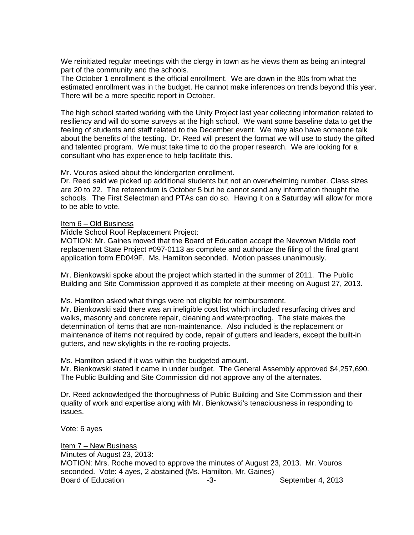We reinitiated regular meetings with the clergy in town as he views them as being an integral part of the community and the schools.

The October 1 enrollment is the official enrollment. We are down in the 80s from what the estimated enrollment was in the budget. He cannot make inferences on trends beyond this year. There will be a more specific report in October.

The high school started working with the Unity Project last year collecting information related to resiliency and will do some surveys at the high school. We want some baseline data to get the feeling of students and staff related to the December event. We may also have someone talk about the benefits of the testing. Dr. Reed will present the format we will use to study the gifted and talented program. We must take time to do the proper research. We are looking for a consultant who has experience to help facilitate this.

Mr. Vouros asked about the kindergarten enrollment.

Dr. Reed said we picked up additional students but not an overwhelming number. Class sizes are 20 to 22. The referendum is October 5 but he cannot send any information thought the schools. The First Selectman and PTAs can do so. Having it on a Saturday will allow for more to be able to vote.

### Item 6 – Old Business

Middle School Roof Replacement Project:

MOTION: Mr. Gaines moved that the Board of Education accept the Newtown Middle roof replacement State Project #097-0113 as complete and authorize the filing of the final grant application form ED049F. Ms. Hamilton seconded. Motion passes unanimously.

Mr. Bienkowski spoke about the project which started in the summer of 2011. The Public Building and Site Commission approved it as complete at their meeting on August 27, 2013.

Ms. Hamilton asked what things were not eligible for reimbursement.

Mr. Bienkowski said there was an ineligible cost list which included resurfacing drives and walks, masonry and concrete repair, cleaning and waterproofing. The state makes the determination of items that are non-maintenance. Also included is the replacement or maintenance of items not required by code, repair of gutters and leaders, except the built-in gutters, and new skylights in the re-roofing projects.

Ms. Hamilton asked if it was within the budgeted amount.

Mr. Bienkowski stated it came in under budget. The General Assembly approved \$4,257,690. The Public Building and Site Commission did not approve any of the alternates.

Dr. Reed acknowledged the thoroughness of Public Building and Site Commission and their quality of work and expertise along with Mr. Bienkowski's tenaciousness in responding to issues.

Vote: 6 ayes

Item 7 – New Business Minutes of August 23, 2013: MOTION: Mrs. Roche moved to approve the minutes of August 23, 2013. Mr. Vouros seconded. Vote: 4 ayes, 2 abstained (Ms. Hamilton, Mr. Gaines) Board of Education **Contact Contact Contact Contact Contact Contact Contact Contact Contact Contact Contact Contact Contact Contact Contact Contact Contact Contact Contact Contact Contact Contact Contact Contact Contact Co**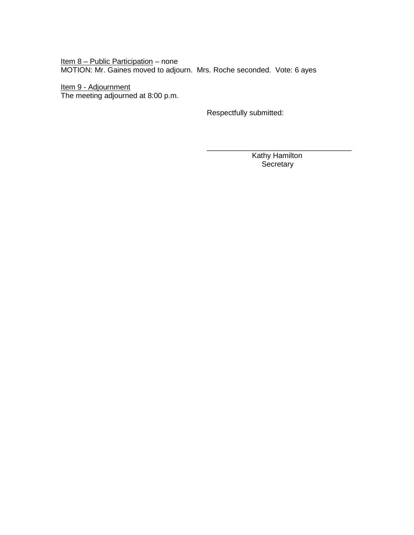Item 8 – Public Participation – none MOTION: Mr. Gaines moved to adjourn. Mrs. Roche seconded. Vote: 6 ayes

<u>Item 9 - Adjournment</u> The meeting adjourned at 8:00 p.m.

Respectfully submitted:

\_\_\_\_\_\_\_\_\_\_\_\_\_\_\_\_\_\_\_\_\_\_\_\_\_\_\_\_\_\_\_\_\_\_\_ Kathy Hamilton **Secretary**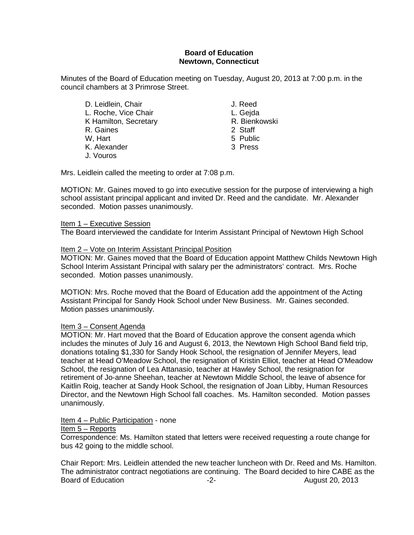# **Board of Education Newtown, Connecticut**

Minutes of the Board of Education meeting on Tuesday, August 20, 2013 at 7:00 p.m. in the council chambers at 3 Primrose Street.

D. Leidlein, Chair **J. Reed** L. Roche, Vice Chair **L. Gegda**<br>
K. Hamilton, Secretary **L. Gegda**<br>
K. Bienkowski K Hamilton, Secretary **R. Bience R. Bience R. Bience**<br>R. Gaines 2 Staff R. Gaines<br>W. Hart K. Alexander 3 Press J. Vouros

5 Public

Mrs. Leidlein called the meeting to order at 7:08 p.m.

MOTION: Mr. Gaines moved to go into executive session for the purpose of interviewing a high school assistant principal applicant and invited Dr. Reed and the candidate. Mr. Alexander seconded. Motion passes unanimously.

## Item 1 – Executive Session

The Board interviewed the candidate for Interim Assistant Principal of Newtown High School

## Item 2 – Vote on Interim Assistant Principal Position

MOTION: Mr. Gaines moved that the Board of Education appoint Matthew Childs Newtown High School Interim Assistant Principal with salary per the administrators' contract. Mrs. Roche seconded. Motion passes unanimously.

MOTION: Mrs. Roche moved that the Board of Education add the appointment of the Acting Assistant Principal for Sandy Hook School under New Business. Mr. Gaines seconded. Motion passes unanimously.

# Item 3 – Consent Agenda

MOTION: Mr. Hart moved that the Board of Education approve the consent agenda which includes the minutes of July 16 and August 6, 2013, the Newtown High School Band field trip, donations totaling \$1,330 for Sandy Hook School, the resignation of Jennifer Meyers, lead teacher at Head O'Meadow School, the resignation of Kristin Elliot, teacher at Head O'Meadow School, the resignation of Lea Attanasio, teacher at Hawley School, the resignation for retirement of Jo-anne Sheehan, teacher at Newtown Middle School, the leave of absence for Kaitlin Roig, teacher at Sandy Hook School, the resignation of Joan Libby, Human Resources Director, and the Newtown High School fall coaches. Ms. Hamilton seconded. Motion passes unanimously.

## Item 4 – Public Participation - none

## Item 5 – Reports

Correspondence: Ms. Hamilton stated that letters were received requesting a route change for bus 42 going to the middle school.

Chair Report: Mrs. Leidlein attended the new teacher luncheon with Dr. Reed and Ms. Hamilton. The administrator contract negotiations are continuing. The Board decided to hire CABE as the Board of Education **-2-** August 20, 2013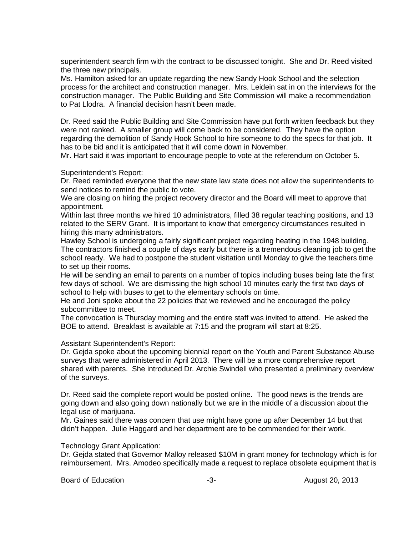superintendent search firm with the contract to be discussed tonight. She and Dr. Reed visited the three new principals.

Ms. Hamilton asked for an update regarding the new Sandy Hook School and the selection process for the architect and construction manager. Mrs. Leidein sat in on the interviews for the construction manager. The Public Building and Site Commission will make a recommendation to Pat Llodra. A financial decision hasn't been made.

Dr. Reed said the Public Building and Site Commission have put forth written feedback but they were not ranked. A smaller group will come back to be considered. They have the option regarding the demolition of Sandy Hook School to hire someone to do the specs for that job. It has to be bid and it is anticipated that it will come down in November.

Mr. Hart said it was important to encourage people to vote at the referendum on October 5.

Superintendent's Report:

Dr. Reed reminded everyone that the new state law state does not allow the superintendents to send notices to remind the public to vote.

We are closing on hiring the project recovery director and the Board will meet to approve that appointment.

Within last three months we hired 10 administrators, filled 38 regular teaching positions, and 13 related to the SERV Grant. It is important to know that emergency circumstances resulted in hiring this many administrators.

Hawley School is undergoing a fairly significant project regarding heating in the 1948 building. The contractors finished a couple of days early but there is a tremendous cleaning job to get the school ready. We had to postpone the student visitation until Monday to give the teachers time to set up their rooms.

He will be sending an email to parents on a number of topics including buses being late the first few days of school. We are dismissing the high school 10 minutes early the first two days of school to help with buses to get to the elementary schools on time.

He and Joni spoke about the 22 policies that we reviewed and he encouraged the policy subcommittee to meet.

The convocation is Thursday morning and the entire staff was invited to attend. He asked the BOE to attend. Breakfast is available at 7:15 and the program will start at 8:25.

Assistant Superintendent's Report:

Dr. Gejda spoke about the upcoming biennial report on the Youth and Parent Substance Abuse surveys that were administered in April 2013. There will be a more comprehensive report shared with parents. She introduced Dr. Archie Swindell who presented a preliminary overview of the surveys.

Dr. Reed said the complete report would be posted online. The good news is the trends are going down and also going down nationally but we are in the middle of a discussion about the legal use of marijuana.

Mr. Gaines said there was concern that use might have gone up after December 14 but that didn't happen. Julie Haggard and her department are to be commended for their work.

## Technology Grant Application:

Dr. Gejda stated that Governor Malloy released \$10M in grant money for technology which is for reimbursement. Mrs. Amodeo specifically made a request to replace obsolete equipment that is

Board of Education **-2-** August 20, 2013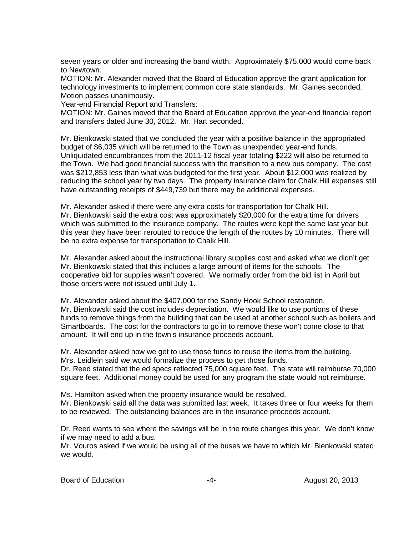seven years or older and increasing the band width. Approximately \$75,000 would come back to Newtown.

MOTION: Mr. Alexander moved that the Board of Education approve the grant application for technology investments to implement common core state standards. Mr. Gaines seconded. Motion passes unanimously.

Year-end Financial Report and Transfers:

MOTION: Mr. Gaines moved that the Board of Education approve the year-end financial report and transfers dated June 30, 2012. Mr. Hart seconded.

Mr. Bienkowski stated that we concluded the year with a positive balance in the appropriated budget of \$6,035 which will be returned to the Town as unexpended year-end funds. Unliquidated encumbrances from the 2011-12 fiscal year totaling \$222 will also be returned to the Town. We had good financial success with the transition to a new bus company. The cost was \$212,853 less than what was budgeted for the first year. About \$12,000 was realized by reducing the school year by two days. The property insurance claim for Chalk Hill expenses still have outstanding receipts of \$449,739 but there may be additional expenses.

Mr. Alexander asked if there were any extra costs for transportation for Chalk Hill. Mr. Bienkowski said the extra cost was approximately \$20,000 for the extra time for drivers which was submitted to the insurance company. The routes were kept the same last year but this year they have been rerouted to reduce the length of the routes by 10 minutes. There will be no extra expense for transportation to Chalk Hill.

Mr. Alexander asked about the instructional library supplies cost and asked what we didn't get Mr. Bienkowski stated that this includes a large amount of items for the schools. The cooperative bid for supplies wasn't covered. We normally order from the bid list in April but those orders were not issued until July 1.

Mr. Alexander asked about the \$407,000 for the Sandy Hook School restoration. Mr. Bienkowski said the cost includes depreciation. We would like to use portions of these funds to remove things from the building that can be used at another school such as boilers and Smartboards. The cost for the contractors to go in to remove these won't come close to that amount. It will end up in the town's insurance proceeds account.

Mr. Alexander asked how we get to use those funds to reuse the items from the building. Mrs. Leidlein said we would formalize the process to get those funds.

Dr. Reed stated that the ed specs reflected 75,000 square feet. The state will reimburse 70,000 square feet. Additional money could be used for any program the state would not reimburse.

Ms. Hamilton asked when the property insurance would be resolved.

Mr. Bienkowski said all the data was submitted last week. It takes three or four weeks for them to be reviewed. The outstanding balances are in the insurance proceeds account.

Dr. Reed wants to see where the savings will be in the route changes this year. We don't know if we may need to add a bus.

Mr. Vouros asked if we would be using all of the buses we have to which Mr. Bienkowski stated we would.

Board of Education **-4-** August 20, 2013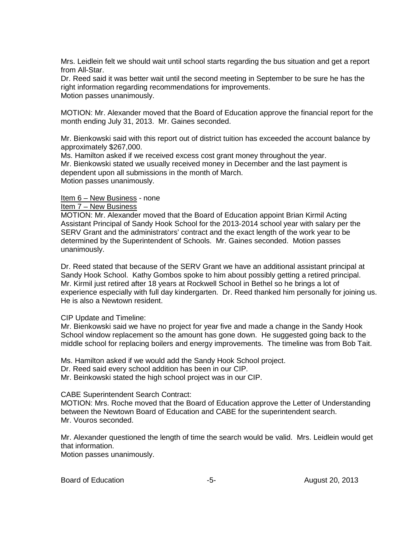Mrs. Leidlein felt we should wait until school starts regarding the bus situation and get a report from All-Star.

Dr. Reed said it was better wait until the second meeting in September to be sure he has the right information regarding recommendations for improvements. Motion passes unanimously.

MOTION: Mr. Alexander moved that the Board of Education approve the financial report for the month ending July 31, 2013. Mr. Gaines seconded.

Mr. Bienkowski said with this report out of district tuition has exceeded the account balance by approximately \$267,000.

Ms. Hamilton asked if we received excess cost grant money throughout the year. Mr. Bienkowski stated we usually received money in December and the last payment is dependent upon all submissions in the month of March. Motion passes unanimously.

#### Item 6 – New Business - none Item 7 – New Business

MOTION: Mr. Alexander moved that the Board of Education appoint Brian Kirmil Acting Assistant Principal of Sandy Hook School for the 2013-2014 school year with salary per the SERV Grant and the administrators' contract and the exact length of the work year to be determined by the Superintendent of Schools. Mr. Gaines seconded. Motion passes unanimously.

Dr. Reed stated that because of the SERV Grant we have an additional assistant principal at Sandy Hook School. Kathy Gombos spoke to him about possibly getting a retired principal. Mr. Kirmil just retired after 18 years at Rockwell School in Bethel so he brings a lot of experience especially with full day kindergarten. Dr. Reed thanked him personally for joining us. He is also a Newtown resident.

# CIP Update and Timeline:

Mr. Bienkowski said we have no project for year five and made a change in the Sandy Hook School window replacement so the amount has gone down. He suggested going back to the middle school for replacing boilers and energy improvements. The timeline was from Bob Tait.

Ms. Hamilton asked if we would add the Sandy Hook School project.

Dr. Reed said every school addition has been in our CIP.

Mr. Beinkowski stated the high school project was in our CIP.

# CABE Superintendent Search Contract:

MOTION: Mrs. Roche moved that the Board of Education approve the Letter of Understanding between the Newtown Board of Education and CABE for the superintendent search. Mr. Vouros seconded.

Mr. Alexander questioned the length of time the search would be valid. Mrs. Leidlein would get that information.

Motion passes unanimously.

Board of Education **-5-** August 20, 2013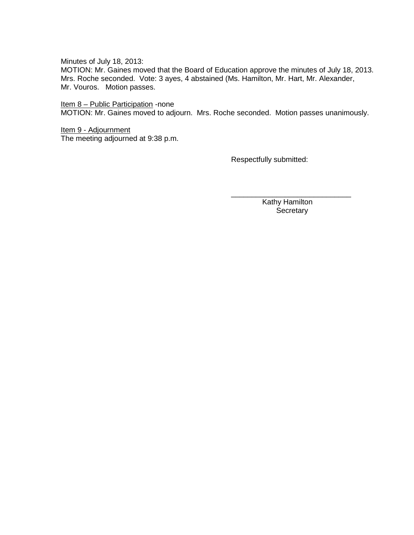Minutes of July 18, 2013:

MOTION: Mr. Gaines moved that the Board of Education approve the minutes of July 18, 2013. Mrs. Roche seconded. Vote: 3 ayes, 4 abstained (Ms. Hamilton, Mr. Hart, Mr. Alexander, Mr. Vouros. Motion passes.

## Item 8 – Public Participation -none

MOTION: Mr. Gaines moved to adjourn. Mrs. Roche seconded. Motion passes unanimously.

## Item 9 - Adjournment The meeting adjourned at 9:38 p.m.

Respectfully submitted:

 Kathy Hamilton **Secretary** 

\_\_\_\_\_\_\_\_\_\_\_\_\_\_\_\_\_\_\_\_\_\_\_\_\_\_\_\_\_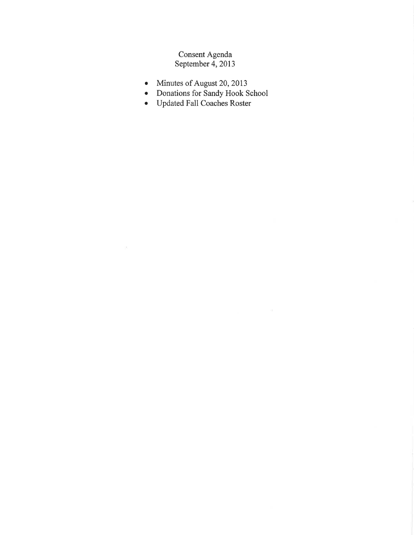# Consent Agenda<br>September 4, 2013

- Minutes of August 20, 2013  $\bullet$
- Donations for Sandy Hook School<br>• Updated Fall Coaches Roster
-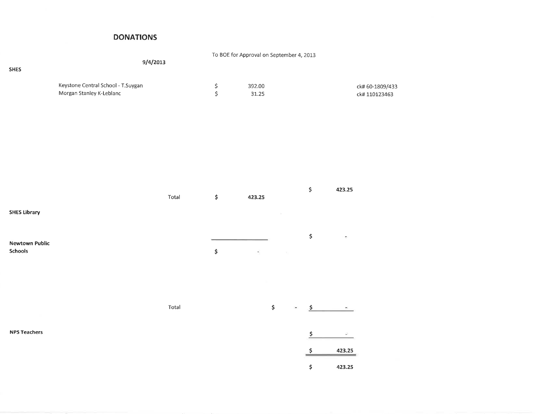# **DONATIONS**

| <b>SHES</b>                             | To BOE for Approval on September 4, 2013<br>9/4/2013           |       |               |                 |                     |                                    |
|-----------------------------------------|----------------------------------------------------------------|-------|---------------|-----------------|---------------------|------------------------------------|
|                                         | Keystone Central School - T.Suygan<br>Morgan Stanley K-Leblanc |       | $\frac{5}{5}$ | 392.00<br>31.25 |                     | ck# 60-1809/433<br>ck#110123463    |
|                                         |                                                                |       |               |                 |                     |                                    |
| <b>SHES Library</b>                     |                                                                | Total | \$            | 423.25          | \$                  | 423.25                             |
| <b>Newtown Public</b><br><b>Schools</b> |                                                                |       | \$            | Ξ<br>$\sim$ 1   | \$                  | C)                                 |
|                                         |                                                                | Total |               | \$              | $\frac{5}{2}$       |                                    |
| <b>NPS Teachers</b>                     |                                                                |       |               |                 | $\frac{1}{2}$<br>\$ | $\overline{\phantom{a}}$<br>423.25 |
|                                         |                                                                |       |               |                 | \$                  | 423.25                             |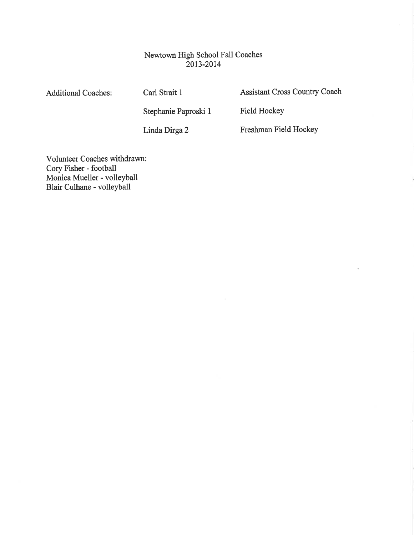# Newtown High School Fall Coaches 2013-2014

**Additional Coaches:** 

Carl Strait 1

Stephanie Paproski 1

Assistant Cross Country Coach

Field Hockey

Linda Dirga 2

Freshman Field Hockey

Volunteer Coaches withdrawn: Cory Fisher - football Monica Mueller - volleyball<br>Blair Culhane - volleyball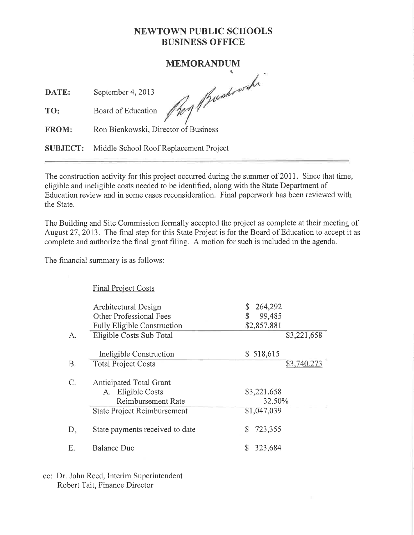# **NEWTOWN PUBLIC SCHOOLS BUSINESS OFFICE**

# **MEMORANDUM**

DATE: September 4, 2013

They pushowski

Board of Education TO:

Ron Bienkowski, Director of Business FROM:

Middle School Roof Replacement Project **SUBJECT:** 

The construction activity for this project occurred during the summer of 2011. Since that time, eligible and ineligible costs needed to be identified, along with the State Department of Education review and in some cases reconsideration. Final paperwork has been reviewed with the State.

The Building and Site Commission formally accepted the project as complete at their meeting of August 27, 2013. The final step for this State Project is for the Board of Education to accept it as complete and authorize the final grant filing. A motion for such is included in the agenda.

The financial summary is as follows:

**Final Project Costs** Architectural Design 264,292 S Other Professional Fees \$ 99,485 **Fully Eligible Construction** \$2,857,881 Eligible Costs Sub Total \$3,221,658  $A_{\cdot}$ Ineligible Construction  $$518,615$ **Total Project Costs** \$3,740,273  $B<sub>1</sub>$ Anticipated Total Grant  $C_{\cdot}$ A. Eligible Costs \$3,221.658 Reimbursement Rate 32.50% **State Project Reimbursement** \$1,047,039  $D_{\cdot}$ State payments received to date \$ 723,355 Ε. **Balance Due**  $$323,684$ 

cc: Dr. John Reed, Interim Superintendent Robert Tait, Finance Director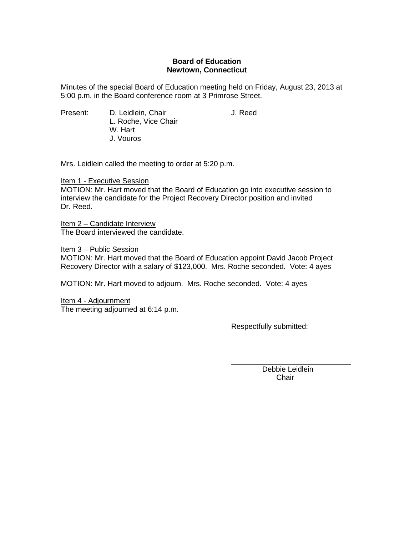## **Board of Education Newtown, Connecticut**

Minutes of the special Board of Education meeting held on Friday, August 23, 2013 at 5:00 p.m. in the Board conference room at 3 Primrose Street.

Present: D. Leidlein, Chair **D. Leidlein**, Chair L. Roche, Vice Chair W. Hart J. Vouros

Mrs. Leidlein called the meeting to order at 5:20 p.m.

Item 1 - Executive Session MOTION: Mr. Hart moved that the Board of Education go into executive session to interview the candidate for the Project Recovery Director position and invited Dr. Reed.

Item 2 – Candidate Interview The Board interviewed the candidate.

Item 3 – Public Session

MOTION: Mr. Hart moved that the Board of Education appoint David Jacob Project Recovery Director with a salary of \$123,000. Mrs. Roche seconded. Vote: 4 ayes

MOTION: Mr. Hart moved to adjourn. Mrs. Roche seconded. Vote: 4 ayes

Item 4 - Adjournment The meeting adjourned at 6:14 p.m.

Respectfully submitted:

\_\_\_\_\_\_\_\_\_\_\_\_\_\_\_\_\_\_\_\_\_\_\_\_\_\_\_\_\_ Debbie Leidlein Chair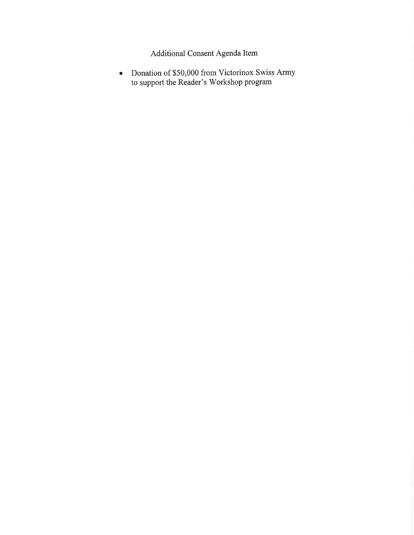Additional Consent Agenda Item

• Donation of \$50,000 from Victorinox Swiss Army<br>to support the Reader's Workshop program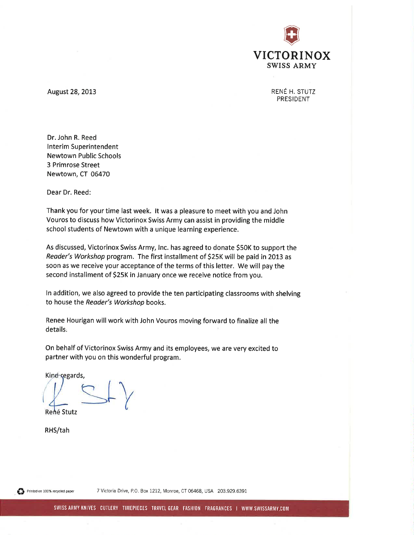

RENÉ H. STUTZ PRESIDENT

August 28, 2013

Dr. John R. Reed **Interim Superintendent Newtown Public Schools** 3 Primrose Street Newtown, CT 06470

Dear Dr. Reed:

Thank you for your time last week. It was a pleasure to meet with you and John Vouros to discuss how Victorinox Swiss Army can assist in providing the middle school students of Newtown with a unique learning experience.

As discussed, Victorinox Swiss Army, Inc. has agreed to donate \$50K to support the Reader's Workshop program. The first installment of \$25K will be paid in 2013 as soon as we receive your acceptance of the terms of this letter. We will pay the second installment of \$25K in January once we receive notice from you.

In addition, we also agreed to provide the ten participating classrooms with shelving to house the Reader's Workshop books.

Renee Hourigan will work with John Vouros moving forward to finalize all the details.

On behalf of Victorinox Swiss Army and its employees, we are very excited to partner with you on this wonderful program.

Kind regards, René Stutz

RHS/tah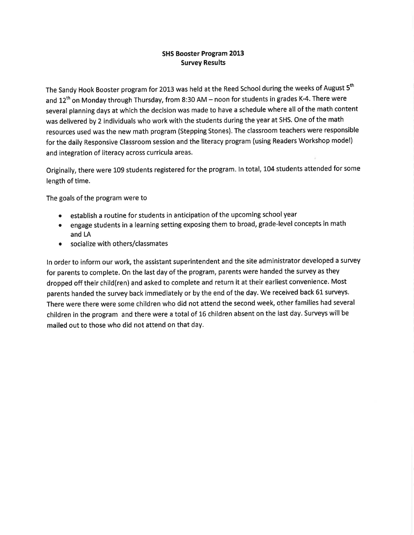# **SHS Booster Program 2013 Survey Results**

The Sandy Hook Booster program for 2013 was held at the Reed School during the weeks of August 5<sup>th</sup> and 12<sup>th</sup> on Monday through Thursday, from 8:30 AM - noon for students in grades K-4. There were several planning days at which the decision was made to have a schedule where all of the math content was delivered by 2 individuals who work with the students during the year at SHS. One of the math resources used was the new math program (Stepping Stones). The classroom teachers were responsible for the daily Responsive Classroom session and the literacy program (using Readers Workshop model) and integration of literacy across curricula areas.

Originally, there were 109 students registered for the program. In total, 104 students attended for some length of time.

The goals of the program were to

- establish a routine for students in anticipation of the upcoming school year  $\bullet$
- engage students in a learning setting exposing them to broad, grade-level concepts in math and LA
- socialize with others/classmates  $\bullet$

In order to inform our work, the assistant superintendent and the site administrator developed a survey for parents to complete. On the last day of the program, parents were handed the survey as they dropped off their child(ren) and asked to complete and return it at their earliest convenience. Most parents handed the survey back immediately or by the end of the day. We received back 61 surveys. There were there were some children who did not attend the second week, other families had several children in the program and there were a total of 16 children absent on the last day. Surveys will be mailed out to those who did not attend on that day.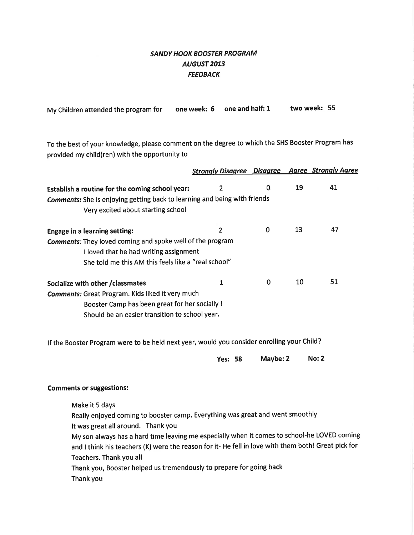# **SANDY HOOK BOOSTER PROGRAM AUGUST 2013 FEEDBACK**

| My Children attended the program for |  | one week: $6$ one and half: 1 | two week: 55 |  |
|--------------------------------------|--|-------------------------------|--------------|--|
|--------------------------------------|--|-------------------------------|--------------|--|

To the best of your knowledge, please comment on the degree to which the SHS Booster Program has provided my child(ren) with the opportunity to

|                                                                                                                                                                                                                                                                                                                                                                                                                                                            | <b>Strongly Disagree Disagree Agree Strongly Agree</b> |             |    |              |
|------------------------------------------------------------------------------------------------------------------------------------------------------------------------------------------------------------------------------------------------------------------------------------------------------------------------------------------------------------------------------------------------------------------------------------------------------------|--------------------------------------------------------|-------------|----|--------------|
| Establish a routine for the coming school year:                                                                                                                                                                                                                                                                                                                                                                                                            | $\overline{2}$                                         | $\bf{0}$    | 19 | 41           |
| Comments: She is enjoying getting back to learning and being with friends                                                                                                                                                                                                                                                                                                                                                                                  |                                                        |             |    |              |
| Very excited about starting school                                                                                                                                                                                                                                                                                                                                                                                                                         |                                                        |             |    |              |
| <b>Engage in a learning setting:</b>                                                                                                                                                                                                                                                                                                                                                                                                                       | $\overline{2}$                                         | $\mathbf 0$ | 13 | 47           |
| <b>Comments:</b> They loved coming and spoke well of the program<br>I loved that he had writing assignment                                                                                                                                                                                                                                                                                                                                                 |                                                        |             |    |              |
| She told me this AM this feels like a "real school"                                                                                                                                                                                                                                                                                                                                                                                                        |                                                        |             |    |              |
| Socialize with other / classmates                                                                                                                                                                                                                                                                                                                                                                                                                          | $\mathbf{1}$                                           | $\mathbf 0$ | 10 | 51           |
| <b>Comments:</b> Great Program. Kids liked it very much<br>Booster Camp has been great for her socially!<br>Should be an easier transition to school year.                                                                                                                                                                                                                                                                                                 |                                                        |             |    |              |
| If the Booster Program were to be held next year, would you consider enrolling your Child?                                                                                                                                                                                                                                                                                                                                                                 |                                                        |             |    |              |
|                                                                                                                                                                                                                                                                                                                                                                                                                                                            | <b>Yes: 58</b>                                         | Maybe: 2    |    | <b>No: 2</b> |
| <b>Comments or suggestions:</b>                                                                                                                                                                                                                                                                                                                                                                                                                            |                                                        |             |    |              |
| Make it 5 days<br>Really enjoyed coming to booster camp. Everything was great and went smoothly<br>It was great all around. Thank you<br>My son always has a hard time leaving me especially when it comes to school-he LOVED coming<br>and I think his teachers (K) were the reason for it- He fell in love with them both! Great pick for<br>Teachers. Thank you all<br>Thank you, Booster helped us tremendously to prepare for going back<br>Thank you |                                                        |             |    |              |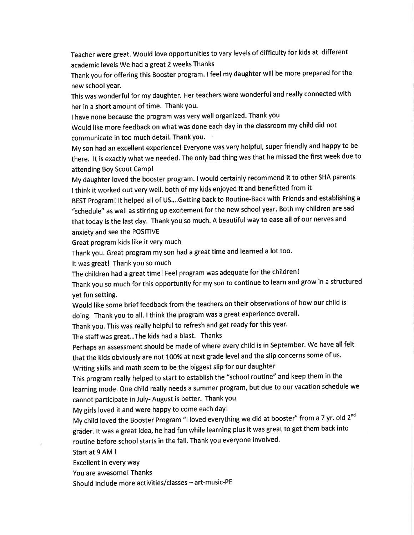Teacher were great. Would love opportunities to vary levels of difficulty for kids at different academic levels We had a great 2 weeks Thanks

Thank you for offering this Booster program. I feel my daughter will be more prepared for the new school year.

This was wonderful for my daughter. Her teachers were wonderful and really connected with her in a short amount of time. Thank you.

I have none because the program was very well organized. Thank you

Would like more feedback on what was done each day in the classroom my child did not communicate in too much detail. Thank you.

My son had an excellent experience! Everyone was very helpful, super friendly and happy to be there. It is exactly what we needed. The only bad thing was that he missed the first week due to attending Boy Scout Camp!

My daughter loved the booster program. I would certainly recommend it to other SHA parents I think it worked out very well, both of my kids enjoyed it and benefitted from it

BEST Program! It helped all of US....Getting back to Routine-Back with Friends and establishing a "schedule" as well as stirring up excitement for the new school year. Both my children are sad that today is the last day. Thank you so much. A beautiful way to ease all of our nerves and anxiety and see the POSITIVE

Great program kids like it very much

Thank you. Great program my son had a great time and learned a lot too.

It was great! Thank you so much

The children had a great time! Feel program was adequate for the children!

Thank you so much for this opportunity for my son to continue to learn and grow in a structured vet fun setting.

Would like some brief feedback from the teachers on their observations of how our child is doing. Thank you to all. I think the program was a great experience overall.

Thank you. This was really helpful to refresh and get ready for this year.

The staff was great...The kids had a blast. Thanks

Perhaps an assessment should be made of where every child is in September. We have all felt that the kids obviously are not 100% at next grade level and the slip concerns some of us. Writing skills and math seem to be the biggest slip for our daughter

This program really helped to start to establish the "school routine" and keep them in the learning mode. One child really needs a summer program, but due to our vacation schedule we cannot participate in July-August is better. Thank you

My girls loved it and were happy to come each day!

My child loved the Booster Program "I loved everything we did at booster" from a 7 yr. old 2<sup>nd</sup> grader. It was a great idea, he had fun while learning plus it was great to get them back into routine before school starts in the fall. Thank you everyone involved.

Start at 9 AM !

Excellent in every way

You are awesome! Thanks

Should include more activities/classes - art-music-PE